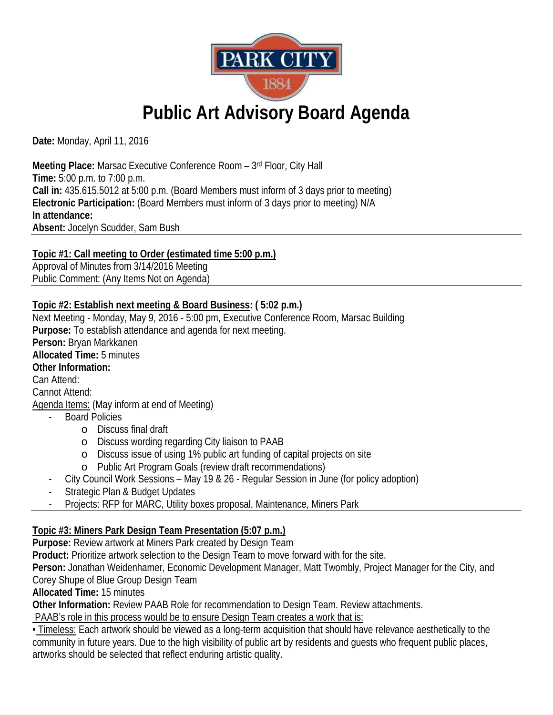

# **Public Art Advisory Board Agenda**

**Date:** Monday, April 11, 2016

**Meeting Place:** Marsac Executive Conference Room – 3rd Floor, City Hall **Time:** 5:00 p.m. to 7:00 p.m. **Call in:** 435.615.5012 at 5:00 p.m. (Board Members must inform of 3 days prior to meeting) **Electronic Participation:** (Board Members must inform of 3 days prior to meeting) N/A **In attendance: Absent:** Jocelyn Scudder, Sam Bush

**Topic #1: Call meeting to Order (estimated time 5:00 p.m.)** Approval of Minutes from 3/14/2016 Meeting

Public Comment: (Any Items Not on Agenda)

## **Topic #2: Establish next meeting & Board Business: ( 5:02 p.m.)**

Next Meeting - Monday, May 9, 2016 - 5:00 pm, Executive Conference Room, Marsac Building **Purpose:** To establish attendance and agenda for next meeting. **Person:** Bryan Markkanen **Allocated Time:** 5 minutes **Other Information:** Can Attend: Cannot Attend: Agenda Items: (May inform at end of Meeting) - Board Policies o Discuss final draft o Discuss wording regarding City liaison to PAAB

- o Discuss issue of using 1% public art funding of capital projects on site
- o Public Art Program Goals (review draft recommendations)
- City Council Work Sessions May 19 & 26 Regular Session in June (for policy adoption)
- Strategic Plan & Budget Updates
- Projects: RFP for MARC, Utility boxes proposal, Maintenance, Miners Park

## **Topic #3: Miners Park Design Team Presentation (5:07 p.m.)**

**Purpose:** Review artwork at Miners Park created by Design Team

**Product:** Prioritize artwork selection to the Design Team to move forward with for the site.

**Person:** Jonathan Weidenhamer, Economic Development Manager, Matt Twombly, Project Manager for the City, and

Corey Shupe of Blue Group Design Team

**Allocated Time:** 15 minutes

**Other Information:** Review PAAB Role for recommendation to Design Team. Review attachments.

PAAB's role in this process would be to ensure Design Team creates a work that is:

• Timeless: Each artwork should be viewed as a long-term acquisition that should have relevance aesthetically to the community in future years. Due to the high visibility of public art by residents and guests who frequent public places, artworks should be selected that reflect enduring artistic quality.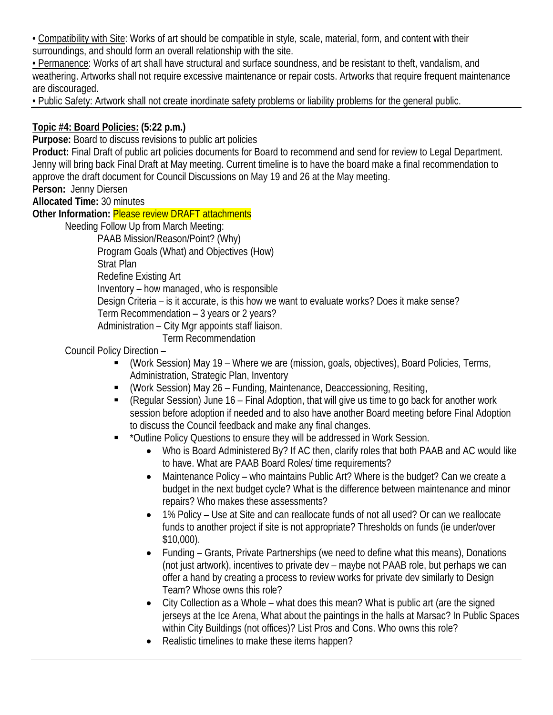• Compatibility with Site: Works of art should be compatible in style, scale, material, form, and content with their surroundings, and should form an overall relationship with the site.

• Permanence: Works of art shall have structural and surface soundness, and be resistant to theft, vandalism, and weathering. Artworks shall not require excessive maintenance or repair costs. Artworks that require frequent maintenance are discouraged.

• Public Safety: Artwork shall not create inordinate safety problems or liability problems for the general public.

## **Topic #4: Board Policies: (5:22 p.m.)**

**Purpose:** Board to discuss revisions to public art policies

**Product:** Final Draft of public art policies documents for Board to recommend and send for review to Legal Department. Jenny will bring back Final Draft at May meeting. Current timeline is to have the board make a final recommendation to approve the draft document for Council Discussions on May 19 and 26 at the May meeting.

**Person:** Jenny Diersen

**Allocated Time:** 30 minutes

**Other Information:** Please review DRAFT attachments

Needing Follow Up from March Meeting:

PAAB Mission/Reason/Point? (Why)

Program Goals (What) and Objectives (How)

Strat Plan

Redefine Existing Art

Inventory – how managed, who is responsible

Design Criteria – is it accurate, is this how we want to evaluate works? Does it make sense?

Term Recommendation – 3 years or 2 years?

Administration – City Mgr appoints staff liaison.

Term Recommendation

Council Policy Direction –

- (Work Session) May 19 Where we are (mission, goals, objectives), Board Policies, Terms, Administration, Strategic Plan, Inventory
- (Work Session) May 26 Funding, Maintenance, Deaccessioning, Resiting,
- (Regular Session) June 16 Final Adoption, that will give us time to go back for another work session before adoption if needed and to also have another Board meeting before Final Adoption to discuss the Council feedback and make any final changes.
- \*Outline Policy Questions to ensure they will be addressed in Work Session.
	- Who is Board Administered By? If AC then, clarify roles that both PAAB and AC would like to have. What are PAAB Board Roles/ time requirements?
	- Maintenance Policy who maintains Public Art? Where is the budget? Can we create a budget in the next budget cycle? What is the difference between maintenance and minor repairs? Who makes these assessments?
	- 1% Policy Use at Site and can reallocate funds of not all used? Or can we reallocate funds to another project if site is not appropriate? Thresholds on funds (ie under/over \$10,000).
	- Funding Grants, Private Partnerships (we need to define what this means), Donations (not just artwork), incentives to private dev – maybe not PAAB role, but perhaps we can offer a hand by creating a process to review works for private dev similarly to Design Team? Whose owns this role?
	- City Collection as a Whole what does this mean? What is public art (are the signed jerseys at the Ice Arena, What about the paintings in the halls at Marsac? In Public Spaces within City Buildings (not offices)? List Pros and Cons. Who owns this role?
	- Realistic timelines to make these items happen?